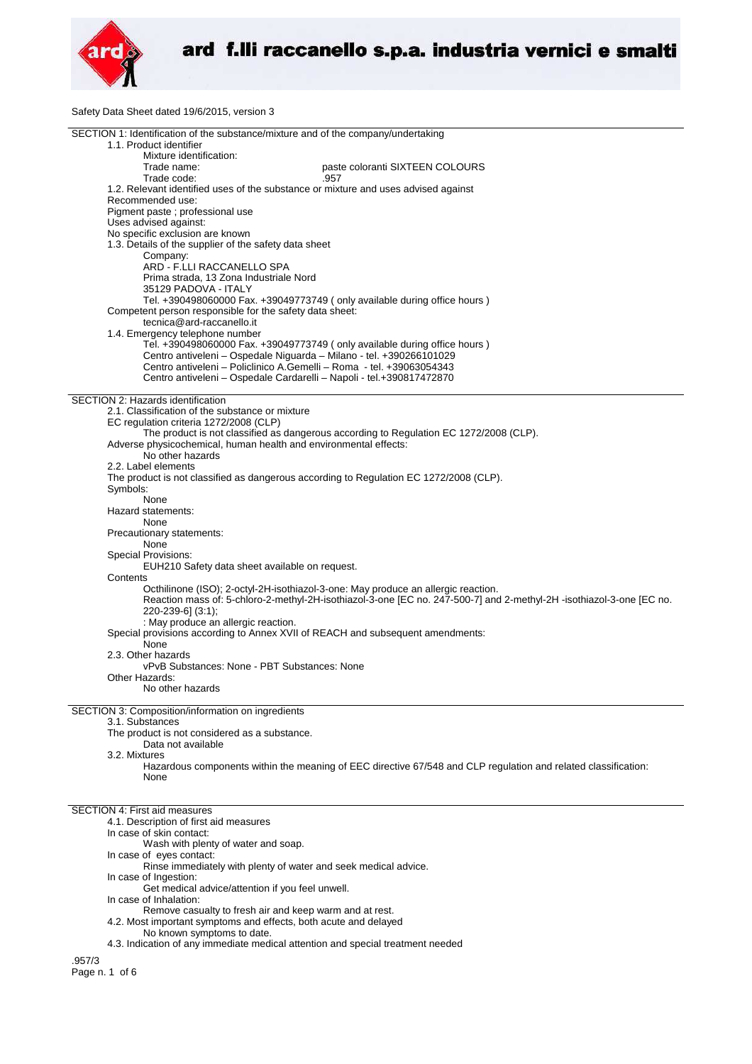

Safety Data Sheet dated 19/6/2015, version 3

| SECTION 1: Identification of the substance/mixture and of the company/undertaking                                                                          |
|------------------------------------------------------------------------------------------------------------------------------------------------------------|
| 1.1. Product identifier                                                                                                                                    |
| Mixture identification:<br>paste coloranti SIXTEEN COLOURS<br>Trade name:                                                                                  |
| Trade code:<br>.957                                                                                                                                        |
| 1.2. Relevant identified uses of the substance or mixture and uses advised against                                                                         |
| Recommended use:                                                                                                                                           |
| Pigment paste ; professional use                                                                                                                           |
| Uses advised against:<br>No specific exclusion are known                                                                                                   |
| 1.3. Details of the supplier of the safety data sheet                                                                                                      |
| Company:                                                                                                                                                   |
| ARD - F.LLI RACCANELLO SPA                                                                                                                                 |
| Prima strada, 13 Zona Industriale Nord                                                                                                                     |
| 35129 PADOVA - ITALY                                                                                                                                       |
| Tel. +390498060000 Fax. +39049773749 (only available during office hours)<br>Competent person responsible for the safety data sheet:                       |
| tecnica@ard-raccanello.it                                                                                                                                  |
| 1.4. Emergency telephone number                                                                                                                            |
| Tel. +390498060000 Fax. +39049773749 (only available during office hours)                                                                                  |
| Centro antiveleni - Ospedale Niguarda - Milano - tel. +390266101029                                                                                        |
| Centro antiveleni - Policlinico A.Gemelli - Roma - tel. +39063054343<br>Centro antiveleni - Ospedale Cardarelli - Napoli - tel.+390817472870               |
|                                                                                                                                                            |
| SECTION 2: Hazards identification                                                                                                                          |
| 2.1. Classification of the substance or mixture                                                                                                            |
| EC regulation criteria 1272/2008 (CLP)                                                                                                                     |
| The product is not classified as dangerous according to Regulation EC 1272/2008 (CLP).<br>Adverse physicochemical, human health and environmental effects: |
| No other hazards                                                                                                                                           |
| 2.2. Label elements                                                                                                                                        |
| The product is not classified as dangerous according to Regulation EC 1272/2008 (CLP).                                                                     |
| Symbols:                                                                                                                                                   |
| None<br>Hazard statements:                                                                                                                                 |
| None                                                                                                                                                       |
| Precautionary statements:                                                                                                                                  |
| None                                                                                                                                                       |
| Special Provisions:                                                                                                                                        |
| EUH210 Safety data sheet available on request.<br>Contents                                                                                                 |
| Octhilinone (ISO); 2-octyl-2H-isothiazol-3-one: May produce an allergic reaction.                                                                          |
| Reaction mass of: 5-chloro-2-methyl-2H-isothiazol-3-one [EC no. 247-500-7] and 2-methyl-2H-isothiazol-3-one [EC no.                                        |
| 220-239-6] (3:1);                                                                                                                                          |
| : May produce an allergic reaction.                                                                                                                        |
| Special provisions according to Annex XVII of REACH and subsequent amendments:<br>None                                                                     |
| 2.3. Other hazards                                                                                                                                         |
| vPvB Substances: None - PBT Substances: None                                                                                                               |
| Other Hazards:                                                                                                                                             |
| No other hazards                                                                                                                                           |
| SECTION 3: Composition/information on ingredients                                                                                                          |
| 3.1. Substances                                                                                                                                            |
| The product is not considered as a substance.                                                                                                              |
| Data not available                                                                                                                                         |
| 3.2. Mixtures                                                                                                                                              |
| Hazardous components within the meaning of EEC directive 67/548 and CLP regulation and related classification:<br>None                                     |
|                                                                                                                                                            |
|                                                                                                                                                            |
| <b>SECTION 4: First aid measures</b>                                                                                                                       |
| 4.1. Description of first aid measures<br>In case of skin contact:                                                                                         |
| Wash with plenty of water and soap.                                                                                                                        |
| In case of eyes contact:                                                                                                                                   |
| Rinse immediately with plenty of water and seek medical advice.                                                                                            |
| In case of Ingestion:<br>Get medical advice/attention if you feel unwell.                                                                                  |
| In case of Inhalation:                                                                                                                                     |
| Remove casualty to fresh air and keep warm and at rest.                                                                                                    |
| 4.2. Most important symptoms and effects, both acute and delayed                                                                                           |
| No known symptoms to date.                                                                                                                                 |
| 4.3. Indication of any immediate medical attention and special treatment needed                                                                            |
| .957/3                                                                                                                                                     |
| Page n. 1 of 6                                                                                                                                             |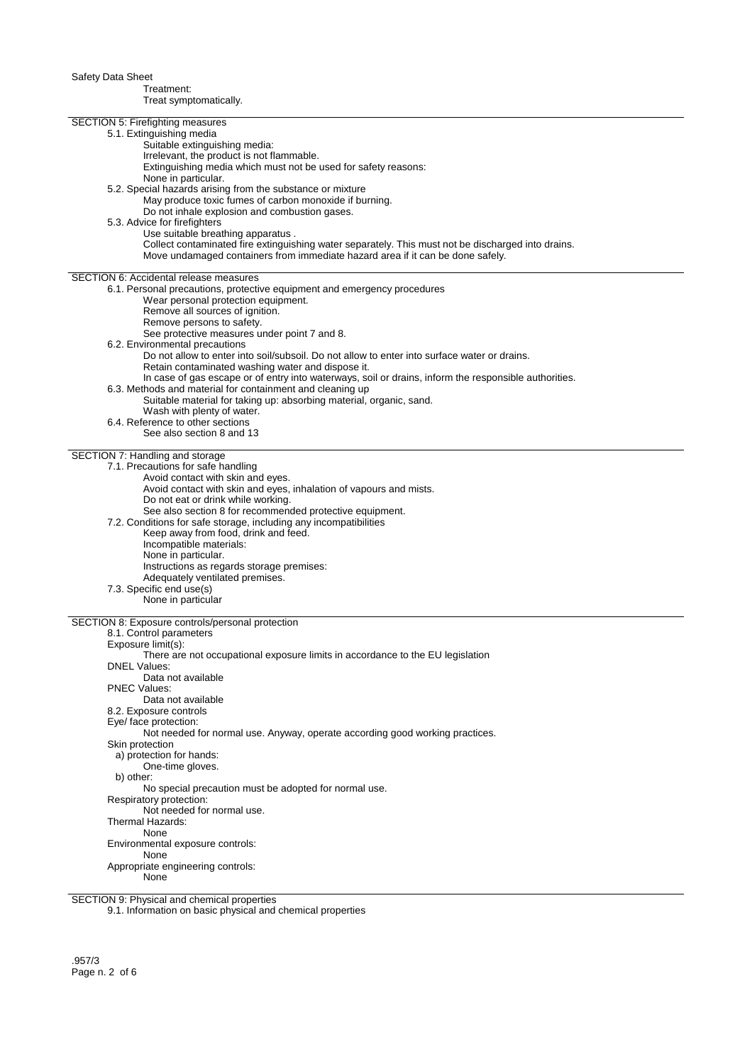Safety Data Sheet Treatment: Treat symptomatically. SECTION 5: Firefighting measures 5.1. Extinguishing media Suitable extinguishing media: Irrelevant, the product is not flammable. Extinguishing media which must not be used for safety reasons: None in particular. 5.2. Special hazards arising from the substance or mixture May produce toxic fumes of carbon monoxide if burning. Do not inhale explosion and combustion gases. 5.3. Advice for firefighters Use suitable breathing apparatus . Collect contaminated fire extinguishing water separately. This must not be discharged into drains. Move undamaged containers from immediate hazard area if it can be done safely. SECTION 6: Accidental release measures 6.1. Personal precautions, protective equipment and emergency procedures Wear personal protection equipment. Remove all sources of ignition. Remove persons to safety. See protective measures under point 7 and 8. 6.2. Environmental precautions Do not allow to enter into soil/subsoil. Do not allow to enter into surface water or drains. Retain contaminated washing water and dispose it. In case of gas escape or of entry into waterways, soil or drains, inform the responsible authorities. 6.3. Methods and material for containment and cleaning up Suitable material for taking up: absorbing material, organic, sand. Wash with plenty of water. 6.4. Reference to other sections See also section 8 and 13 SECTION 7: Handling and storage 7.1. Precautions for safe handling Avoid contact with skin and eyes. Avoid contact with skin and eyes, inhalation of vapours and mists. Do not eat or drink while working. See also section 8 for recommended protective equipment. 7.2. Conditions for safe storage, including any incompatibilities Keep away from food, drink and feed. Incompatible materials: None in particular. Instructions as regards storage premises: Adequately ventilated premises. 7.3. Specific end use(s) None in particular SECTION 8: Exposure controls/personal protection 8.1. Control parameters Exposure limit(s): There are not occupational exposure limits in accordance to the EU legislation DNEL Values: Data not available PNEC Values: Data not available 8.2. Exposure controls Eye/ face protection: Not needed for normal use. Anyway, operate according good working practices. Skin protection a) protection for hands: One-time gloves. b) other: No special precaution must be adopted for normal use. Respiratory protection: Not needed for normal use. Thermal Hazards: None Environmental exposure controls:

SECTION 9: Physical and chemical properties

Appropriate engineering controls:

None

None

9.1. Information on basic physical and chemical properties

.957/3 Page n. 2 of 6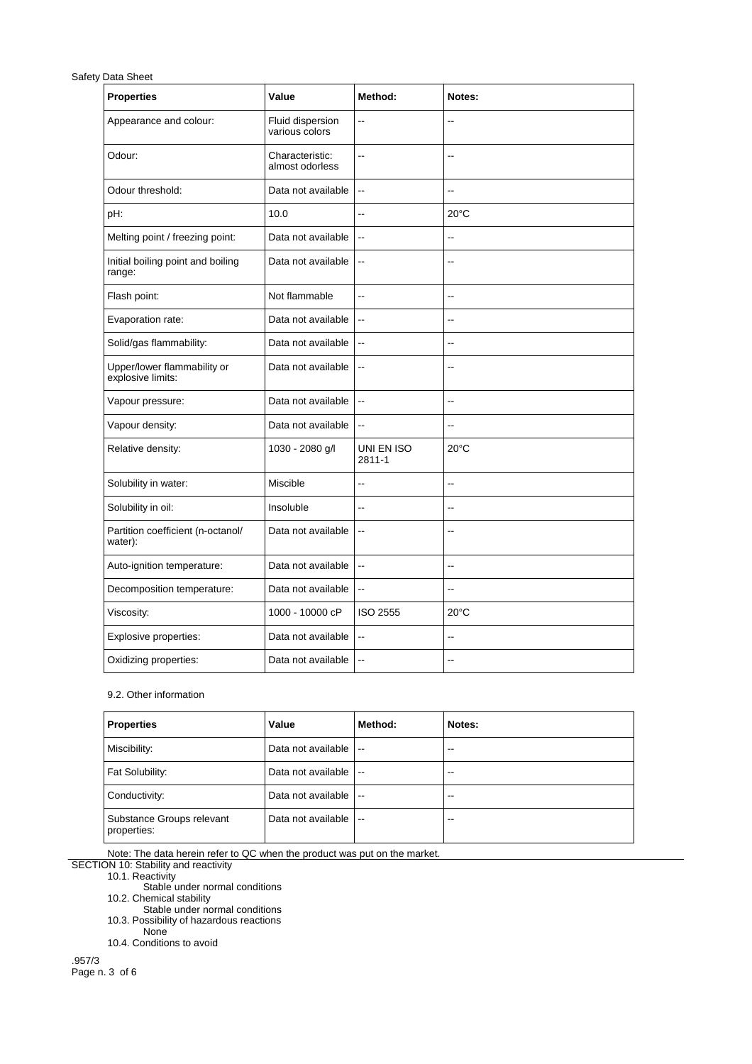| <b>Properties</b>                                | Value                              | Method:                  | Notes:                   |
|--------------------------------------------------|------------------------------------|--------------------------|--------------------------|
| Appearance and colour:                           | Fluid dispersion<br>various colors | $\overline{a}$           | Ξ.                       |
| Odour:                                           | Characteristic:<br>almost odorless | Ξ.                       | $-$                      |
| Odour threshold:                                 | Data not available                 | $\ddotsc$                | $\overline{a}$           |
| pH:                                              | 10.0                               | --                       | $20^{\circ}$ C           |
| Melting point / freezing point:                  | Data not available                 | $\overline{a}$           | Ξ.                       |
| Initial boiling point and boiling<br>range:      | Data not available                 | $\overline{\phantom{a}}$ | $\overline{a}$           |
| Flash point:                                     | Not flammable                      | $\sim$                   | ٠.                       |
| Evaporation rate:                                | Data not available                 | $\overline{\phantom{a}}$ | ۵.                       |
| Solid/gas flammability:                          | Data not available                 | $\overline{\phantom{a}}$ | $\overline{\phantom{a}}$ |
| Upper/lower flammability or<br>explosive limits: | Data not available                 | $\overline{\phantom{a}}$ | $-$                      |
| Vapour pressure:                                 | Data not available                 | $\overline{a}$           | $\overline{a}$           |
| Vapour density:                                  | Data not available                 | $\overline{\phantom{a}}$ | $\overline{a}$           |
| Relative density:                                | 1030 - 2080 g/l                    | UNI EN ISO<br>2811-1     | $20^{\circ}$ C           |
| Solubility in water:                             | Miscible                           | Ξ.                       | $\overline{\phantom{a}}$ |
| Solubility in oil:                               | Insoluble                          | $\overline{a}$           | $\overline{\phantom{a}}$ |
| Partition coefficient (n-octanol/<br>water):     | Data not available                 | $\overline{\phantom{a}}$ | $-$                      |
| Auto-ignition temperature:                       | Data not available                 | $\ddotsc$                | --                       |
| Decomposition temperature:                       | Data not available                 | $\ddotsc$                | $\overline{\phantom{a}}$ |
| Viscosity:                                       | 1000 - 10000 cP                    | <b>ISO 2555</b>          | $20^{\circ}$ C           |
| Explosive properties:                            | Data not available                 | $\ddotsc$                | Ξ.                       |
| Oxidizing properties:                            | Data not available                 | $\ddotsc$                | $\overline{\phantom{a}}$ |

## 9.2. Other information

| Properties                               | Value              | Method:                  | Notes: |
|------------------------------------------|--------------------|--------------------------|--------|
| Miscibility:                             | Data not available | $\overline{\phantom{a}}$ | $-1$   |
| Fat Solubility:                          | Data not available | $\overline{\phantom{a}}$ | $-1$   |
| Conductivity:                            | Data not available | $\overline{\phantom{a}}$ | --     |
| Substance Groups relevant<br>properties: | Data not available | $\overline{\phantom{a}}$ | --     |

Note: The data herein refer to QC when the product was put on the market.

SECTION 10: Stability and reactivity

10.1. Reactivity

Stable under normal conditions

10.2. Chemical stability

Stable under normal conditions

10.3. Possibility of hazardous reactions None

10.4. Conditions to avoid

.957/3 Page n. 3 of 6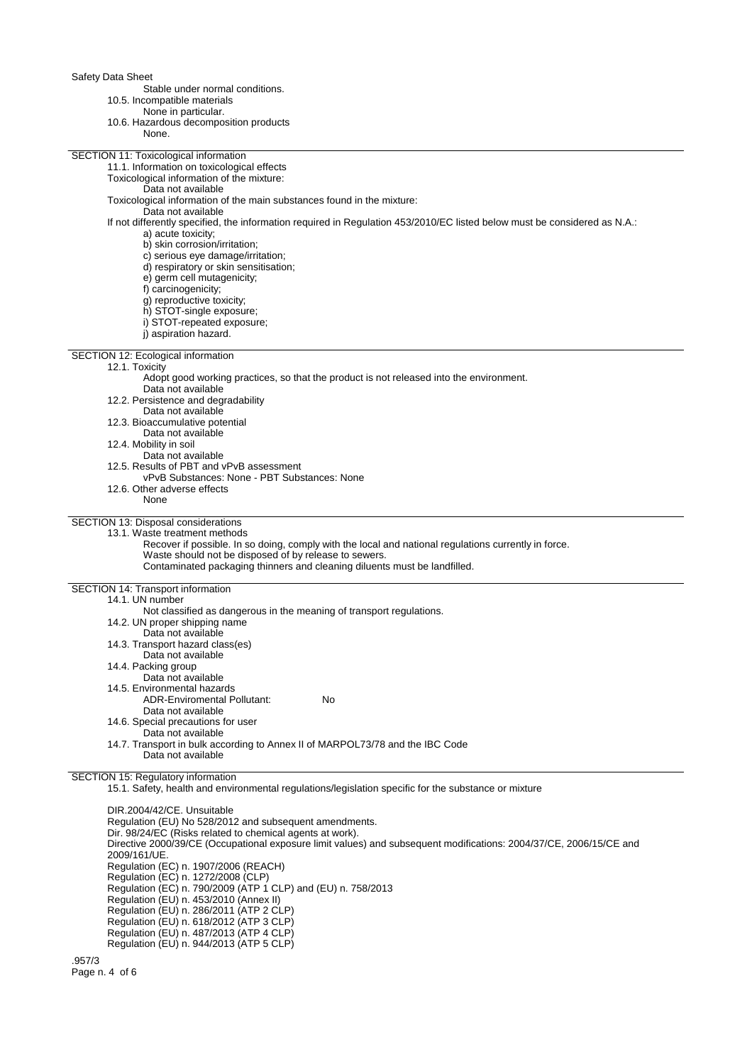Stable under normal conditions.

- 10.5. Incompatible materials
	- None in particular.
- 10.6. Hazardous decomposition products

| 10.6. Hazardous decomposition products                                                                                    |
|---------------------------------------------------------------------------------------------------------------------------|
| None.                                                                                                                     |
|                                                                                                                           |
| SECTION 11: Toxicological information                                                                                     |
| 11.1. Information on toxicological effects                                                                                |
| Toxicological information of the mixture:                                                                                 |
| Data not available                                                                                                        |
|                                                                                                                           |
| Toxicological information of the main substances found in the mixture:                                                    |
| Data not available                                                                                                        |
| If not differently specified, the information required in Regulation 453/2010/EC listed below must be considered as N.A.: |
| a) acute toxicity;                                                                                                        |
| b) skin corrosion/irritation;                                                                                             |
| c) serious eye damage/irritation;                                                                                         |
| d) respiratory or skin sensitisation;                                                                                     |
| e) germ cell mutagenicity;                                                                                                |
| f) carcinogenicity;                                                                                                       |
|                                                                                                                           |
| g) reproductive toxicity;                                                                                                 |
| h) STOT-single exposure;                                                                                                  |
| i) STOT-repeated exposure;                                                                                                |
| i) aspiration hazard.                                                                                                     |
|                                                                                                                           |
| SECTION 12: Ecological information                                                                                        |
| 12.1. Toxicity                                                                                                            |
| Adopt good working practices, so that the product is not released into the environment.                                   |
| Data not available                                                                                                        |
|                                                                                                                           |
| 12.2. Persistence and degradability                                                                                       |
| Data not available                                                                                                        |
| 12.3. Bioaccumulative potential                                                                                           |
| Data not available                                                                                                        |
| 12.4. Mobility in soil                                                                                                    |
| Data not available                                                                                                        |
| 12.5. Results of PBT and vPvB assessment                                                                                  |
| vPvB Substances: None - PBT Substances: None                                                                              |
| 12.6. Other adverse effects                                                                                               |
|                                                                                                                           |
| None                                                                                                                      |
|                                                                                                                           |
| SECTION 13: Disposal considerations                                                                                       |
| 13.1. Waste treatment methods                                                                                             |
| Recover if possible. In so doing, comply with the local and national regulations currently in force.                      |
| Waste should not be disposed of by release to sewers.                                                                     |
| Contaminated packaging thinners and cleaning diluents must be landfilled.                                                 |
|                                                                                                                           |
| SECTION 14: Transport information                                                                                         |
| 14.1. UN number                                                                                                           |
|                                                                                                                           |
| Not classified as dangerous in the meaning of transport regulations.                                                      |
| 14.2. UN proper shipping name                                                                                             |
| Data not available                                                                                                        |
| 14.3. Transport hazard class(es)                                                                                          |
| Data not available                                                                                                        |
| 14.4. Packing group                                                                                                       |
| Data not available                                                                                                        |
| 14.5. Environmental hazards                                                                                               |
|                                                                                                                           |
| No<br><b>ADR-Enviromental Pollutant:</b>                                                                                  |
| Data not available                                                                                                        |
| 14.6. Special precautions for user                                                                                        |
| Data not available                                                                                                        |
| 14.7. Transport in bulk according to Annex II of MARPOL73/78 and the IBC Code                                             |
| Data not available                                                                                                        |
|                                                                                                                           |
| SECTION 15: Regulatory information                                                                                        |
|                                                                                                                           |
| 15.1. Safety, health and environmental regulations/legislation specific for the substance or mixture                      |
|                                                                                                                           |
| DIR.2004/42/CE. Unsuitable                                                                                                |
| Regulation (EU) No 528/2012 and subsequent amendments.                                                                    |
| $\sum_{i=0}^{\infty}$ 00/04/FC (Dielse related to ebecase a gents of weak)                                                |

Dir. 98/24/EC (Risks related to chemical agents at work). Directive 2000/39/CE (Occupational exposure limit values) and subsequent modifications: 2004/37/CE, 2006/15/CE and<br>2009/161/UE. 2009/161/UE. Regulation (EC) n. 1907/2006 (REACH) Regulation (EC) n. 1272/2008 (CLP) Regulation (EC) n. 790/2009 (ATP 1 CLP) and (EU) n. 758/2013 Regulation (EU) n. 453/2010 (Annex II) Regulation (EU) n. 286/2011 (ATP 2 CLP) Regulation (EU) n. 618/2012 (ATP 3 CLP) Regulation (EU) n. 487/2013 (ATP 4 CLP)

Regulation (EU) n. 944/2013 (ATP 5 CLP)

.957/3 Page n. 4 of 6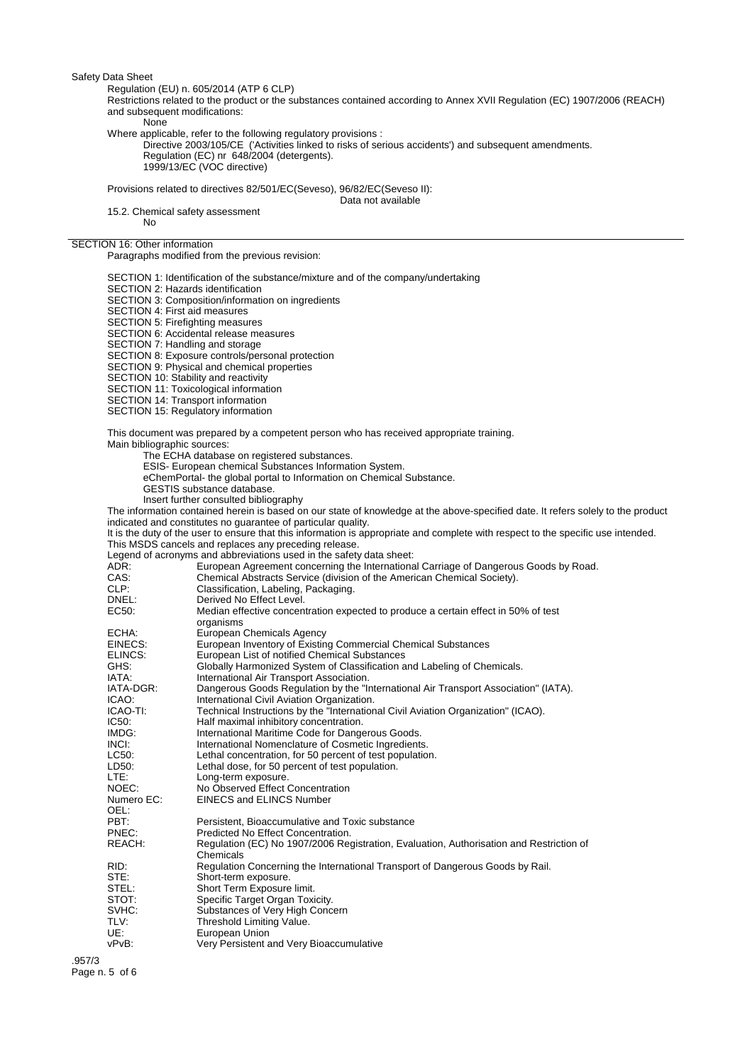Regulation (EU) n. 605/2014 (ATP 6 CLP)

Restrictions related to the product or the substances contained according to Annex XVII Regulation (EC) 1907/2006 (REACH) and subsequent modifications:

None

Where applicable, refer to the following regulatory provisions :

Directive 2003/105/CE ('Activities linked to risks of serious accidents') and subsequent amendments. Regulation (EC) nr 648/2004 (detergents). 1999/13/EC (VOC directive)

Provisions related to directives 82/501/EC(Seveso), 96/82/EC(Seveso II):

Data not available

15.2. Chemical safety assessment No

## SECTION 16: Other information

Paragraphs modified from the previous revision:

SECTION 1: Identification of the substance/mixture and of the company/undertaking

SECTION 2: Hazards identification

SECTION 3: Composition/information on ingredients

SECTION 4: First aid measures

SECTION 5: Firefighting measures

SECTION 6: Accidental release measures SECTION 7: Handling and storage

SECTION 8: Exposure controls/personal protection

SECTION 9: Physical and chemical properties

SECTION 10: Stability and reactivity

SECTION 11: Toxicological information

SECTION 14: Transport information

SECTION 15: Regulatory information

This document was prepared by a competent person who has received appropriate training. Main bibliographic sources:

The ECHA database on registered substances.

ESIS- European chemical Substances Information System.

eChemPortal- the global portal to Information on Chemical Substance.

- GESTIS substance database.
- Insert further consulted bibliography

The information contained herein is based on our state of knowledge at the above-specified date. It refers solely to the product indicated and constitutes no guarantee of particular quality.

It is the duty of the user to ensure that this information is appropriate and complete with respect to the specific use intended. This MSDS cancels and replaces any preceding release.

Legend of acronyms and abbreviations used in the safety data sheet:

| ADR:       | European Agreement concerning the International Carriage of Dangerous Goods by Road.    |
|------------|-----------------------------------------------------------------------------------------|
| CAS:       | Chemical Abstracts Service (division of the American Chemical Society).                 |
| CLP:       | Classification, Labeling, Packaging.                                                    |
| DNEL:      | Derived No Effect Level.                                                                |
| EC50:      | Median effective concentration expected to produce a certain effect in 50% of test      |
|            | organisms                                                                               |
| ECHA:      | European Chemicals Agency                                                               |
| EINECS:    | European Inventory of Existing Commercial Chemical Substances                           |
| ELINCS:    | European List of notified Chemical Substances                                           |
| GHS:       | Globally Harmonized System of Classification and Labeling of Chemicals.                 |
| IATA:      | International Air Transport Association.                                                |
| IATA-DGR:  | Dangerous Goods Regulation by the "International Air Transport Association" (IATA).     |
| ICAO:      | International Civil Aviation Organization.                                              |
| ICAO-TI:   | Technical Instructions by the "International Civil Aviation Organization" (ICAO).       |
| IC50:      | Half maximal inhibitory concentration.                                                  |
| IMDG:      | International Maritime Code for Dangerous Goods.                                        |
| INCI:      | International Nomenclature of Cosmetic Ingredients.                                     |
| LC50:      | Lethal concentration, for 50 percent of test population.                                |
| LD50:      | Lethal dose, for 50 percent of test population.                                         |
| LTE:       | Long-term exposure.                                                                     |
| NOEC:      | No Observed Effect Concentration                                                        |
| Numero EC: | <b>EINECS and ELINCS Number</b>                                                         |
| OEL:       |                                                                                         |
| PBT:       | Persistent, Bioaccumulative and Toxic substance                                         |
| PNEC:      | Predicted No Effect Concentration.                                                      |
| REACH:     | Regulation (EC) No 1907/2006 Registration, Evaluation, Authorisation and Restriction of |
|            | Chemicals                                                                               |
| RID:       | Regulation Concerning the International Transport of Dangerous Goods by Rail.           |
| STE:       | Short-term exposure.                                                                    |
| STEL:      | Short Term Exposure limit.                                                              |
| STOT:      | Specific Target Organ Toxicity.                                                         |
| SVHC:      | Substances of Very High Concern                                                         |
| TLV:       | Threshold Limiting Value.                                                               |
| UE:        | European Union                                                                          |
| vPvB:      | Very Persistent and Very Bioaccumulative                                                |
|            |                                                                                         |